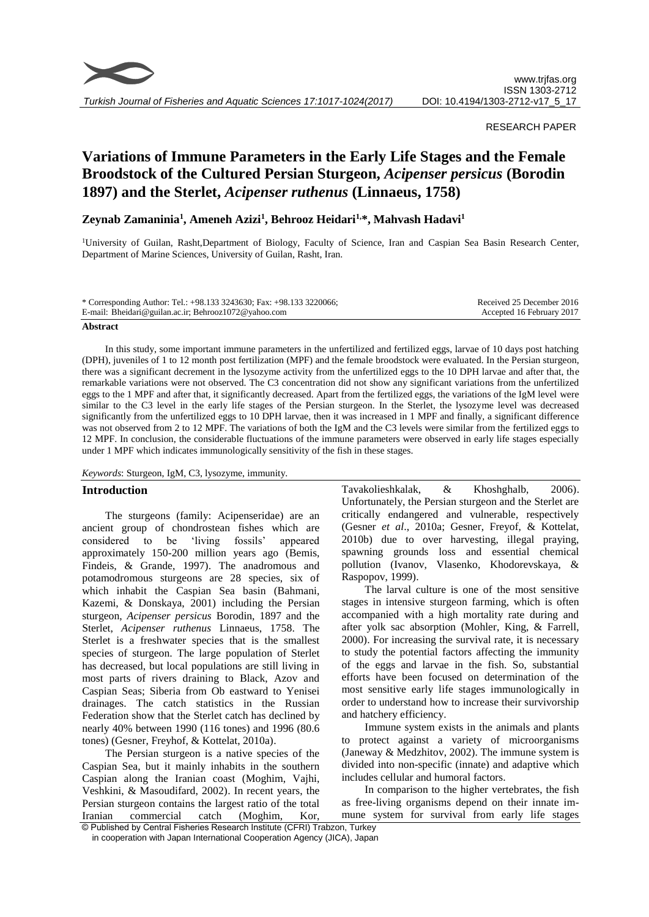

*Turkish Journal of Fisheries and Aquatic Sciences 17:1017-1024(2017)*

## RESEARCH PAPER

# **Variations of Immune Parameters in the Early Life Stages and the Female Broodstock of the Cultured Persian Sturgeon,** *Acipenser persicus* **(Borodin 1897) and the Sterlet,** *Acipenser ruthenus* **(Linnaeus, 1758)**

# **Zeynab Zamaninia<sup>1</sup> , Ameneh Azizi<sup>1</sup> , Behrooz Heidari1,\*, Mahvash Hadavi<sup>1</sup>**

<sup>1</sup>University of Guilan, Rasht,Department of Biology, Faculty of Science, Iran and Caspian Sea Basin Research Center, Department of Marine Sciences, University of Guilan, Rasht, Iran.

| * Corresponding Author: Tel.: +98.133 3243630; Fax: +98.133 3220066; | Received 25 December 2016 |
|----------------------------------------------------------------------|---------------------------|
| E-mail: Bheidari@guilan.ac.ir; Behrooz1072@yahoo.com                 | Accepted 16 February 2017 |

#### **Abstract**

In this study, some important immune parameters in the unfertilized and fertilized eggs, larvae of 10 days post hatching (DPH), juveniles of 1 to 12 month post fertilization (MPF) and the female broodstock were evaluated. In the Persian sturgeon, there was a significant decrement in the lysozyme activity from the unfertilized eggs to the 10 DPH larvae and after that, the remarkable variations were not observed. The C3 concentration did not show any significant variations from the unfertilized eggs to the 1 MPF and after that, it significantly decreased. Apart from the fertilized eggs, the variations of the IgM level were similar to the C3 level in the early life stages of the Persian sturgeon. In the Sterlet, the lysozyme level was decreased significantly from the unfertilized eggs to 10 DPH larvae, then it was increased in 1 MPF and finally, a significant difference was not observed from 2 to 12 MPF. The variations of both the IgM and the C3 levels were similar from the fertilized eggs to 12 MPF. In conclusion, the considerable fluctuations of the immune parameters were observed in early life stages especially under 1 MPF which indicates immunologically sensitivity of the fish in these stages.

*Keywords*: Sturgeon, IgM, C3, lysozyme, immunity.

## **Introduction**

The sturgeons (family: Acipenseridae) are an ancient group of chondrostean fishes which are considered to be 'living fossils' appeared approximately 150-200 million years ago (Bemis, Findeis, & Grande, 1997). The anadromous and potamodromous sturgeons are 28 species, six of which inhabit the Caspian Sea basin (Bahmani, Kazemi, & Donskaya, 2001) including the Persian sturgeon, *Acipenser persicus* Borodin, 1897 and the Sterlet, *Acipenser ruthenus* Linnaeus, 1758. The Sterlet is a freshwater species that is the smallest species of sturgeon. The large population of Sterlet has decreased, but local populations are still living in most parts of rivers draining to Black, Azov and Caspian Seas; Siberia from Ob eastward to Yenisei drainages. The catch statistics in the Russian Federation show that the Sterlet catch has declined by nearly 40% between 1990 (116 tones) and 1996 (80.6 tones) (Gesner, Freyhof, & Kottelat, 2010a).

The Persian sturgeon is a native species of the Caspian Sea, but it mainly inhabits in the southern Caspian along the Iranian coast (Moghim, Vajhi, Veshkini, & Masoudifard, 2002). In recent years, the Persian sturgeon contains the largest ratio of the total Iranian commercial catch (Moghim, Kor, Tavakolieshkalak, & Khoshghalb, 2006). Unfortunately, the Persian sturgeon and the Sterlet are critically endangered and vulnerable, respectively (Gesner *et al*., 2010a; Gesner, Freyof, & Kottelat, 2010b) due to over harvesting, illegal praying, spawning grounds loss and essential chemical pollution (Ivanov, Vlasenko, Khodorevskaya, & Raspopov, 1999).

The larval culture is one of the most sensitive stages in intensive sturgeon farming, which is often accompanied with a high mortality rate during and after yolk sac absorption (Mohler, King, & Farrell, 2000). For increasing the survival rate, it is necessary to study the potential factors affecting the immunity of the eggs and larvae in the fish. So, substantial efforts have been focused on determination of the most sensitive early life stages immunologically in order to understand how to increase their survivorship and hatchery efficiency.

Immune system exists in the animals and plants to protect against a variety of microorganisms (Janeway & Medzhitov, 2002). The immune system is divided into non-specific (innate) and adaptive which includes cellular and humoral factors.

In comparison to the higher vertebrates, the fish as free-living organisms depend on their innate immune system for survival from early life stages

<sup>©</sup> Published by Central Fisheries Research Institute (CFRI) Trabzon, Turkey in cooperation with Japan International Cooperation Agency (JICA), Japan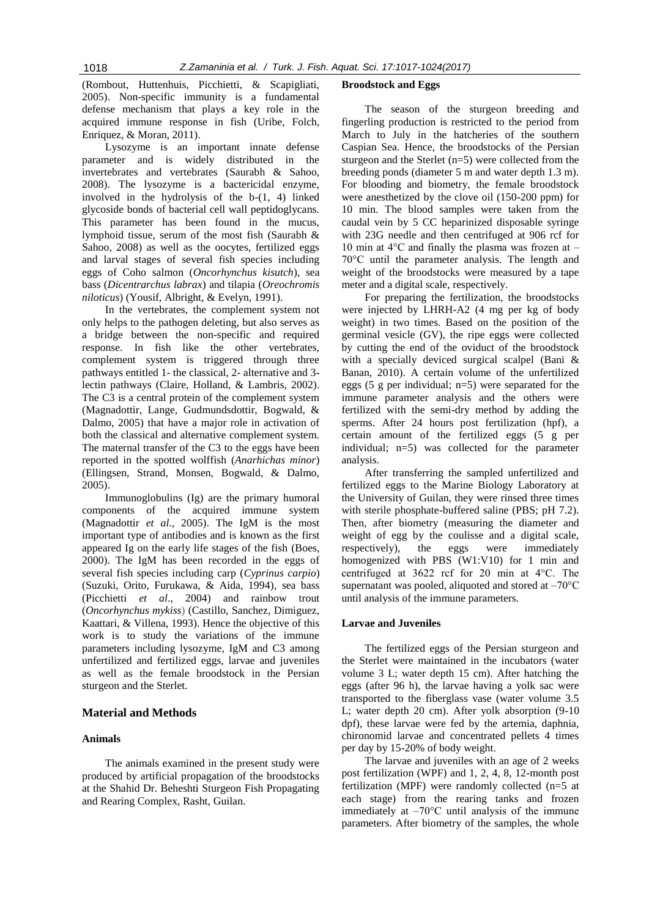(Rombout, Huttenhuis, Picchietti, & Scapigliati, 2005). Non-specific immunity is a fundamental defense mechanism that plays a key role in the acquired immune response in fish (Uribe, Folch, Enriquez, & Moran, 2011).

Lysozyme is an important innate defense parameter and is widely distributed in the invertebrates and vertebrates (Saurabh & Sahoo, 2008). The lysozyme is a bactericidal enzyme, involved in the hydrolysis of the b-(1, 4) linked glycoside bonds of bacterial cell wall peptidoglycans. This parameter has been found in the mucus, lymphoid tissue, serum of the most fish (Saurabh & Sahoo, 2008) as well as the oocytes, fertilized eggs and larval stages of several fish species including eggs of Coho salmon (*Oncorhynchus kisutch*), sea bass (*Dicentrarchus labrax*) and tilapia (*Oreochromis niloticus*) (Yousif, Albright, & Evelyn, 1991).

In the vertebrates, the complement system not only helps to the pathogen deleting, but also serves as a bridge between the non-specific and required response. In fish like the other vertebrates, complement system is triggered through three pathways entitled 1- the classical, 2- alternative and 3 lectin pathways (Claire, Holland, & Lambris, 2002). The C3 is a central protein of the complement system (Magnadottir, Lange, Gudmundsdottir, Bogwald, & Dalmo, 2005) that have a major role in activation of both the classical and alternative complement system. The maternal transfer of the C3 to the eggs have been reported in the spotted wolffish (*Anarhichas minor*) (Ellingsen, Strand, Monsen, Bogwald, & Dalmo, 2005).

Immunoglobulins (Ig) are the primary humoral components of the acquired immune system (Magnadottir *et al*., 2005). The IgM is the most important type of antibodies and is known as the first appeared Ig on the early life stages of the fish (Boes, 2000). The IgM has been recorded in the eggs of several fish species including carp (*Cyprinus carpio*) (Suzuki, Orito, Furukawa, & Aida, 1994), sea bass (Picchietti *et al*., 2004) and rainbow trout (*Oncorhynchus mykiss*) (Castillo, Sanchez, Dimiguez, Kaattari, & Villena, 1993). Hence the objective of this work is to study the variations of the immune parameters including lysozyme, IgM and C3 among unfertilized and fertilized eggs, larvae and juveniles as well as the female broodstock in the Persian sturgeon and the Sterlet.

# **Material and Methods**

#### **Animals**

The animals examined in the present study were produced by artificial propagation of the broodstocks at the Shahid Dr. Beheshti Sturgeon Fish Propagating and Rearing Complex, Rasht, Guilan.

#### **Broodstock and Eggs**

The season of the sturgeon breeding and fingerling production is restricted to the period from March to July in the hatcheries of the southern Caspian Sea. Hence, the broodstocks of the Persian sturgeon and the Sterlet (n=5) were collected from the breeding ponds (diameter 5 m and water depth 1.3 m). For blooding and biometry, the female broodstock were anesthetized by the clove oil (150-200 ppm) for 10 min. The blood samples were taken from the caudal vein by 5 CC heparinized disposable syringe with 23G needle and then centrifuged at 906 rcf for 10 min at  $4^{\circ}$ C and finally the plasma was frozen at – 70°C until the parameter analysis. The length and weight of the broodstocks were measured by a tape meter and a digital scale, respectively.

For preparing the fertilization, the broodstocks were injected by LHRH-A2 (4 mg per kg of body weight) in two times. Based on the position of the germinal vesicle (GV), the ripe eggs were collected by cutting the end of the oviduct of the broodstock with a specially deviced surgical scalpel (Bani & Banan, 2010). A certain volume of the unfertilized eggs (5 g per individual; n=5) were separated for the immune parameter analysis and the others were fertilized with the semi-dry method by adding the sperms. After 24 hours post fertilization (hpf), a certain amount of the fertilized eggs (5 g per individual; n=5) was collected for the parameter analysis.

After transferring the sampled unfertilized and fertilized eggs to the Marine Biology Laboratory at the University of Guilan, they were rinsed three times with sterile phosphate-buffered saline (PBS; pH 7.2). Then, after biometry (measuring the diameter and weight of egg by the coulisse and a digital scale, respectively), the eggs were immediately homogenized with PBS (W1:V10) for 1 min and centrifuged at 3622 rcf for 20 min at 4°C. The supernatant was pooled, aliquoted and stored at  $-70^{\circ}$ C until analysis of the immune parameters.

#### **Larvae and Juveniles**

The fertilized eggs of the Persian sturgeon and the Sterlet were maintained in the incubators (water volume 3 L; water depth 15 cm). After hatching the eggs (after 96 h), the larvae having a yolk sac were transported to the fiberglass vase (water volume 3.5 L; water depth 20 cm). After yolk absorption (9-10 dpf), these larvae were fed by the artemia, daphnia, chironomid larvae and concentrated pellets 4 times per day by 15-20% of body weight.

The larvae and juveniles with an age of 2 weeks post fertilization (WPF) and 1, 2, 4, 8, 12-month post fertilization (MPF) were randomly collected (n=5 at each stage) from the rearing tanks and frozen immediately at  $-70^{\circ}$ C until analysis of the immune parameters. After biometry of the samples, the whole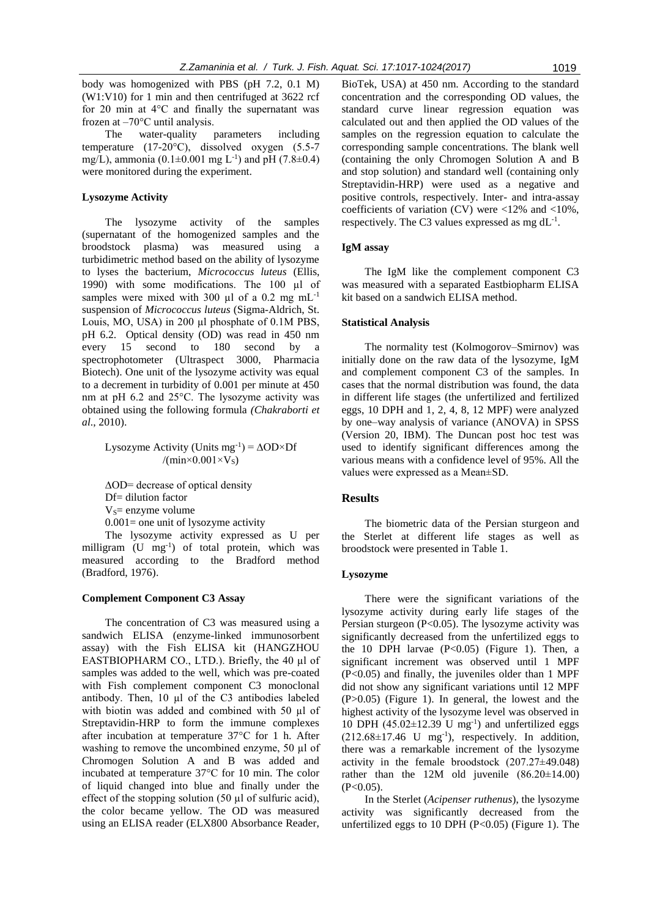body was homogenized with PBS (pH 7.2, 0.1 M) (W1:V10) for 1 min and then centrifuged at 3622 rcf for 20 min at 4°C and finally the supernatant was frozen at  $-70^{\circ}$ C until analysis.

The water-quality parameters including temperature (17-20°C), dissolved oxygen (5.5-7 mg/L), ammonia  $(0.1 \pm 0.001$  mg L<sup>-1</sup>) and pH  $(7.8 \pm 0.4)$ were monitored during the experiment.

## **Lysozyme Activity**

The lysozyme activity of the samples (supernatant of the homogenized samples and the broodstock plasma) was measured using a turbidimetric method based on the ability of lysozyme to lyses the bacterium, *Micrococcus luteus* (Ellis, 1990) with some modifications. The 100 µl of samples were mixed with 300  $\mu$ l of a 0.2 mg mL<sup>-1</sup> suspension of *Micrococcus luteus* (Sigma-Aldrich, St. Louis, MO, USA) in 200 µl phosphate of 0.1M PBS, pH 6.2. Optical density (OD) was read in 450 nm every 15 second to 180 second by a spectrophotometer (Ultraspect 3000, Pharmacia Biotech). One unit of the lysozyme activity was equal to a decrement in turbidity of 0.001 per minute at 450 nm at pH 6.2 and 25°C. The lysozyme activity was obtained using the following formula *(Chakraborti et al*., 2010).

Lysozyme Activity (Units mg<sup>-1</sup>) =  $\Delta$ OD×Df /( $min \times 0.001 \times V_s$ )

∆OD= decrease of optical density Df= dilution factor  $V_s$ = enzyme volume

 $0.001$  = one unit of lysozyme activity

The lysozyme activity expressed as U per milligram (U mg<sup>-1</sup>) of total protein, which was measured according to the Bradford method (Bradford, 1976).

#### **Complement Component C3 Assay**

The concentration of C3 was measured using a sandwich ELISA (enzyme-linked immunosorbent assay) with the Fish ELISA kit (HANGZHOU EASTBIOPHARM CO., LTD.). Briefly, the 40 µl of samples was added to the well, which was pre-coated with Fish complement component C3 monoclonal antibody. Then, 10 µl of the C3 antibodies labeled with biotin was added and combined with 50 µl of Streptavidin-HRP to form the immune complexes after incubation at temperature 37°C for 1 h. After washing to remove the uncombined enzyme, 50 µl of Chromogen Solution A and B was added and incubated at temperature 37°C for 10 min. The color of liquid changed into blue and finally under the effect of the stopping solution (50 µl of sulfuric acid), the color became yellow. The OD was measured using an ELISA reader (ELX800 Absorbance Reader,

BioTek, USA) at 450 nm. According to the standard concentration and the corresponding OD values, the standard curve linear regression equation was calculated out and then applied the OD values of the samples on the regression equation to calculate the corresponding sample concentrations. The blank well (containing the only Chromogen Solution A and B and stop solution) and standard well (containing only Streptavidin-HRP) were used as a negative and positive controls, respectively. Inter- and intra-assay coefficients of variation (CV) were <12% and <10%, respectively. The C3 values expressed as mg  $dL^{-1}$ .

#### **IgM assay**

The IgM like the complement component C3 was measured with a separated Eastbiopharm ELISA kit based on a sandwich ELISA method.

#### **Statistical Analysis**

The normality test (Kolmogorov–Smirnov) was initially done on the raw data of the lysozyme, IgM and complement component C3 of the samples. In cases that the normal distribution was found, the data in different life stages (the unfertilized and fertilized eggs, 10 DPH and 1, 2, 4, 8, 12 MPF) were analyzed by one–way analysis of variance (ANOVA) in SPSS (Version 20, IBM). The Duncan post hoc test was used to identify significant differences among the various means with a confidence level of 95%. All the values were expressed as a Mean±SD.

## **Results**

The biometric data of the Persian sturgeon and the Sterlet at different life stages as well as broodstock were presented in Table 1.

#### **Lysozyme**

There were the significant variations of the lysozyme activity during early life stages of the Persian sturgeon (P<0.05). The lysozyme activity was significantly decreased from the unfertilized eggs to the 10 DPH larvae  $(P<0.05)$  (Figure 1). Then, a significant increment was observed until 1 MPF (P<0.05) and finally, the juveniles older than 1 MPF did not show any significant variations until 12 MPF (P>0.05) (Figure 1). In general, the lowest and the highest activity of the lysozyme level was observed in 10 DPH  $(45.02 \pm 12.39 \text{ U mg}^{-1})$  and unfertilized eggs  $(212.68 \pm 17.46 \text{ U} \text{ mg}^{-1})$ , respectively. In addition, there was a remarkable increment of the lysozyme activity in the female broodstock (207.27±49.048) rather than the 12M old juvenile  $(86.20 \pm 14.00)$  $(P<0.05)$ .

In the Sterlet (*Acipenser ruthenus*), the lysozyme activity was significantly decreased from the unfertilized eggs to 10 DPH  $(P<0.05)$  (Figure 1). The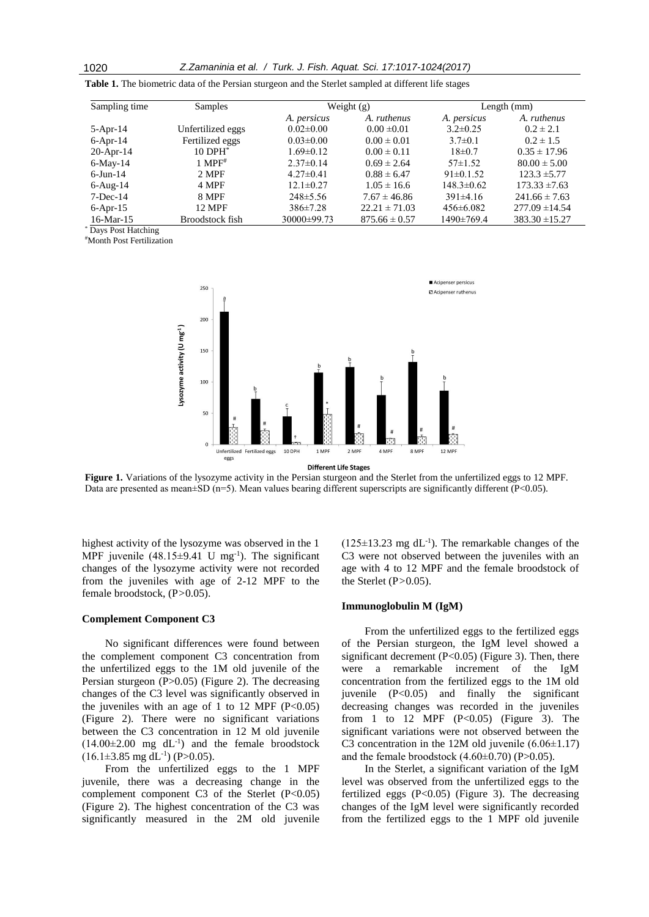| Sampling time   | Samples                | Weight $(g)$    |                   | Length $(mm)$    |                    |
|-----------------|------------------------|-----------------|-------------------|------------------|--------------------|
|                 |                        | A. persicus     | A. ruthenus       | A. persicus      | A. ruthenus        |
| $5-Apr-14$      | Unfertilized eggs      | $0.02 \pm 0.00$ | $0.00 \pm 0.01$   | $3.2 \pm 0.25$   | $0.2 \pm 2.1$      |
| $6$ -Apr-14     | Fertilized eggs        | $0.03 \pm 0.00$ | $0.00 \pm 0.01$   | $3.7 \pm 0.1$    | $0.2 \pm 1.5$      |
| $20$ -Apr-14    | $10$ DPH $^*$          | $1.69 \pm 0.12$ | $0.00 \pm 0.11$   | $18 \pm 0.7$     | $0.35 \pm 17.96$   |
| $6$ -May-14     | $1$ MPF <sup>#</sup>   | $2.37\pm0.14$   | $0.69 \pm 2.64$   | $57\pm1.52$      | $80.00 \pm 5.00$   |
| $6$ -Jun-14     | 2 MPF                  | $4.27 \pm 0.41$ | $0.88 \pm 6.47$   | $91 \pm 0.1.52$  | $123.3 \pm 5.77$   |
| $6$ -Aug- $14$  | 4 MPF                  | $12.1 \pm 0.27$ | $1.05 \pm 16.6$   | $148.3 \pm 0.62$ | $173.33 \pm 7.63$  |
| $7-Dec-14$      | 8 MPF                  | $248 \pm 5.56$  | $7.67 \pm 46.86$  | $391 \pm 4.16$   | $241.66 \pm 7.63$  |
| $6-Apr-15$      | <b>12 MPF</b>          | $386 \pm 7.28$  | $22.21 \pm 71.03$ | $456 \pm 6.082$  | $277.09 \pm 14.54$ |
| $16$ -Mar- $15$ | <b>Broodstock fish</b> | 30000±99.73     | $875.66 \pm 0.57$ | 1490±769.4       | $383.30 \pm 15.27$ |

**Table 1.** The biometric data of the Persian sturgeon and the Sterlet sampled at different life stages

\* Days Post Hatching

#Month Post Fertilization



**Different Life Stages** 

**Figure 1.** Variations of the lysozyme activity in the Persian sturgeon and the Sterlet from the unfertilized eggs to 12 MPF. Data are presented as mean±SD (n=5). Mean values bearing different superscripts are significantly different (P<0.05).

highest activity of the lysozyme was observed in the 1 MPF juvenile  $(48.15\pm9.41 \text{ U mg}^{-1})$ . The significant changes of the lysozyme activity were not recorded from the juveniles with age of 2-12 MPF to the female broodstock, (P*>*0.05).

#### **Complement Component C3**

No significant differences were found between the complement component C3 concentration from the unfertilized eggs to the 1M old juvenile of the Persian sturgeon (P>0.05) (Figure 2). The decreasing changes of the C3 level was significantly observed in the juveniles with an age of 1 to 12 MPF  $(P<0.05)$ (Figure 2). There were no significant variations between the C3 concentration in 12 M old juvenile  $(14.00\pm2.00 \text{ mg } dL^{-1})$  and the female broodstock  $(16.1\pm3.85 \text{ mg dL}^{-1})$  (P>0.05).

From the unfertilized eggs to the 1 MPF juvenile, there was a decreasing change in the complement component C3 of the Sterlet  $(P<0.05)$ (Figure 2). The highest concentration of the C3 was significantly measured in the 2M old juvenile

 $(125 \pm 13.23 \text{ mg dL}^{-1})$ . The remarkable changes of the C3 were not observed between the juveniles with an age with 4 to 12 MPF and the female broodstock of the Sterlet (P*>*0.05).

## **Immunoglobulin M (IgM)**

From the unfertilized eggs to the fertilized eggs of the Persian sturgeon, the IgM level showed a significant decrement  $(P<0.05)$  (Figure 3). Then, there were a remarkable increment of the IgM concentration from the fertilized eggs to the 1M old juvenile (P<0.05) and finally the significant decreasing changes was recorded in the juveniles from 1 to 12 MPF  $(P<0.05)$  (Figure 3). The significant variations were not observed between the C3 concentration in the 12M old juvenile  $(6.06\pm1.17)$ and the female broodstock (4.60±0.70) (P>0.05).

In the Sterlet, a significant variation of the IgM level was observed from the unfertilized eggs to the fertilized eggs  $(P<0.05)$  (Figure 3). The decreasing changes of the IgM level were significantly recorded from the fertilized eggs to the 1 MPF old juvenile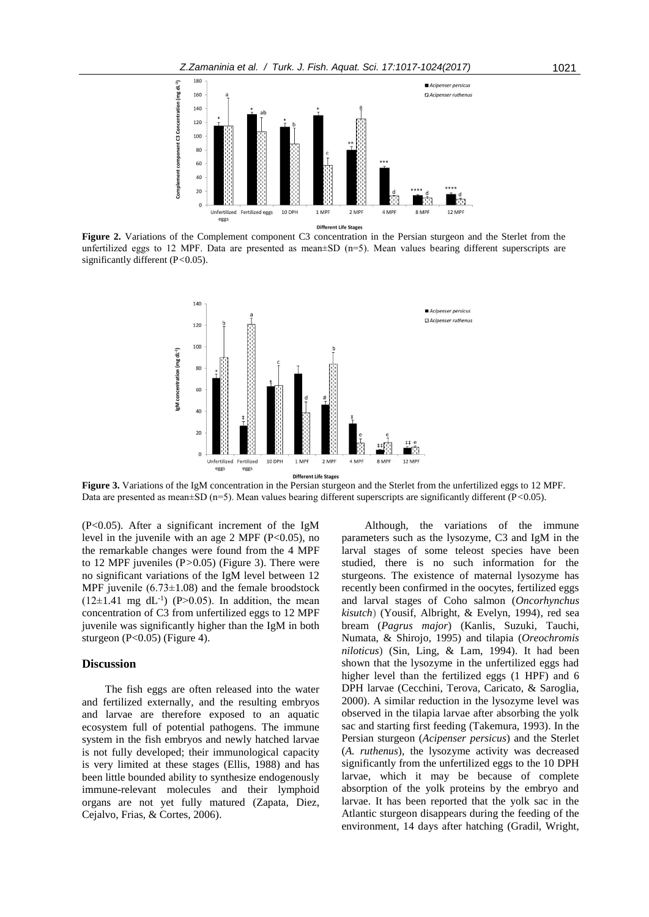

**Figure 2.** Variations of the Complement component C3 concentration in the Persian sturgeon and the Sterlet from the unfertilized eggs to 12 MPF. Data are presented as mean±SD (n=5). Mean values bearing different superscripts are significantly different (P*<*0.05).



**Figure 3.** Variations of the IgM concentration in the Persian sturgeon and the Sterlet from the unfertilized eggs to 12 MPF. Data are presented as mean±SD (n=5). Mean values bearing different superscripts are significantly different (P*<*0.05).

(P<0.05). After a significant increment of the IgM level in the juvenile with an age 2 MPF ( $P<0.05$ ), no the remarkable changes were found from the 4 MPF to 12 MPF juveniles (P*>*0.05) (Figure 3). There were no significant variations of the IgM level between 12 MPF juvenile (6.73±1.08) and the female broodstock  $(12\pm1.41 \text{ mg } dL^{-1})$  (P>0.05). In addition, the mean concentration of C3 from unfertilized eggs to 12 MPF juvenile was significantly higher than the IgM in both sturgeon  $(P<0.05)$  (Figure 4).

#### **Discussion**

The fish eggs are often released into the water and fertilized externally, and the resulting embryos and larvae are therefore exposed to an aquatic ecosystem full of potential pathogens. The immune system in the fish embryos and newly hatched larvae is not fully developed; their immunological capacity is very limited at these stages (Ellis, 1988) and has been little bounded ability to synthesize endogenously immune-relevant molecules and their lymphoid organs are not yet fully matured (Zapata, Diez, Cejalvo, Frias, & Cortes, 2006).

Although, the variations of the immune parameters such as the lysozyme, C3 and IgM in the larval stages of some teleost species have been studied, there is no such information for the sturgeons. The existence of maternal lysozyme has recently been confirmed in the oocytes, fertilized eggs and larval stages of Coho salmon (*Oncorhynchus kisutch*) (Yousif, Albright, & Evelyn, 1994), red sea bream (*Pagrus major*) (Kanlis, Suzuki, Tauchi, Numata, & Shirojo, 1995) and tilapia (*Oreochromis niloticus*) (Sin, Ling, & Lam, 1994). It had been shown that the lysozyme in the unfertilized eggs had higher level than the fertilized eggs (1 HPF) and 6 DPH larvae (Cecchini, Terova, Caricato, & Saroglia, 2000). A similar reduction in the lysozyme level was observed in the tilapia larvae after absorbing the yolk sac and starting first feeding (Takemura, 1993). In the Persian sturgeon (*Acipenser persicus*) and the Sterlet (*A. ruthenus*), the lysozyme activity was decreased significantly from the unfertilized eggs to the 10 DPH larvae, which it may be because of complete absorption of the yolk proteins by the embryo and larvae. It has been reported that the yolk sac in the Atlantic sturgeon disappears during the feeding of the environment, 14 days after hatching (Gradil, Wright,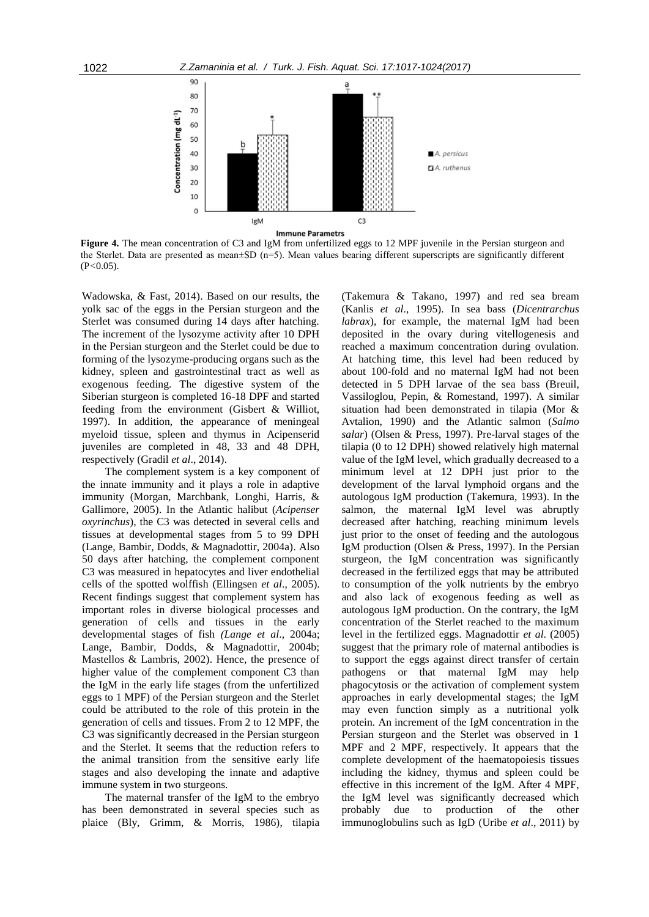

**Figure 4.** The mean concentration of C3 and IgM from unfertilized eggs to 12 MPF juvenile in the Persian sturgeon and the Sterlet. Data are presented as mean±SD (n=5). Mean values bearing different superscripts are significantly different (P*<*0.05).

Wadowska, & Fast, 2014). Based on our results, the yolk sac of the eggs in the Persian sturgeon and the Sterlet was consumed during 14 days after hatching. The increment of the lysozyme activity after 10 DPH in the Persian sturgeon and the Sterlet could be due to forming of the lysozyme-producing organs such as the kidney, spleen and gastrointestinal tract as well as exogenous feeding. The digestive system of the Siberian sturgeon is completed 16-18 DPF and started feeding from the environment (Gisbert & Williot, 1997). In addition, the appearance of meningeal myeloid tissue, spleen and thymus in Acipenserid juveniles are completed in 48, 33 and 48 DPH, respectively (Gradil *et al*., 2014).

The complement system is a key component of the innate immunity and it plays a role in adaptive immunity (Morgan, Marchbank, Longhi, Harris, & Gallimore, 2005). In the Atlantic halibut (*Acipenser oxyrinchus*), the C3 was detected in several cells and tissues at developmental stages from 5 to 99 DPH (Lange, Bambir, Dodds, & Magnadottir, 2004a). Also 50 days after hatching, the complement component C3 was measured in hepatocytes and liver endothelial cells of the spotted wolffish (Ellingsen *et al*., 2005). Recent findings suggest that complement system has important roles in diverse biological processes and generation of cells and tissues in the early developmental stages of fish *(Lange et al*., 2004a; Lange, Bambir, Dodds, & Magnadottir, 2004b; Mastellos & Lambris, 2002). Hence, the presence of higher value of the complement component C3 than the IgM in the early life stages (from the unfertilized eggs to 1 MPF) of the Persian sturgeon and the Sterlet could be attributed to the role of this protein in the generation of cells and tissues. From 2 to 12 MPF, the C3 was significantly decreased in the Persian sturgeon and the Sterlet. It seems that the reduction refers to the animal transition from the sensitive early life stages and also developing the innate and adaptive immune system in two sturgeons.

The maternal transfer of the IgM to the embryo has been demonstrated in several species such as plaice (Bly, Grimm, & Morris, 1986), tilapia

(Takemura & Takano, 1997) and red sea bream (Kanlis *et al*., 1995). In sea bass (*Dicentrarchus labrax*), for example, the maternal IgM had been deposited in the ovary during vitellogenesis and reached a maximum concentration during ovulation. At hatching time, this level had been reduced by about 100-fold and no maternal IgM had not been detected in 5 DPH larvae of the sea bass (Breuil, Vassiloglou, Pepin, & Romestand, 1997). A similar situation had been demonstrated in tilapia (Mor & Avtalion, 1990) and the Atlantic salmon (*Salmo salar*) (Olsen & Press, 1997). Pre-larval stages of the tilapia (0 to 12 DPH) showed relatively high maternal value of the IgM level, which gradually decreased to a minimum level at 12 DPH just prior to the development of the larval lymphoid organs and the autologous IgM production (Takemura, 1993). In the salmon, the maternal IgM level was abruptly decreased after hatching, reaching minimum levels just prior to the onset of feeding and the autologous IgM production (Olsen & Press, 1997). In the Persian sturgeon, the IgM concentration was significantly decreased in the fertilized eggs that may be attributed to consumption of the yolk nutrients by the embryo and also lack of exogenous feeding as well as autologous IgM production. On the contrary, the IgM concentration of the Sterlet reached to the maximum level in the fertilized eggs. Magnadottir *et al*. (2005) suggest that the primary role of maternal antibodies is to support the eggs against direct transfer of certain pathogens or that maternal IgM may help phagocytosis or the activation of complement system approaches in early developmental stages; the IgM may even function simply as a nutritional yolk protein. An increment of the IgM concentration in the Persian sturgeon and the Sterlet was observed in 1 MPF and 2 MPF, respectively. It appears that the complete development of the haematopoiesis tissues including the kidney, thymus and spleen could be effective in this increment of the IgM. After 4 MPF, the IgM level was significantly decreased which probably due to production of the other immunoglobulins such as IgD (Uribe *et al*., 2011) by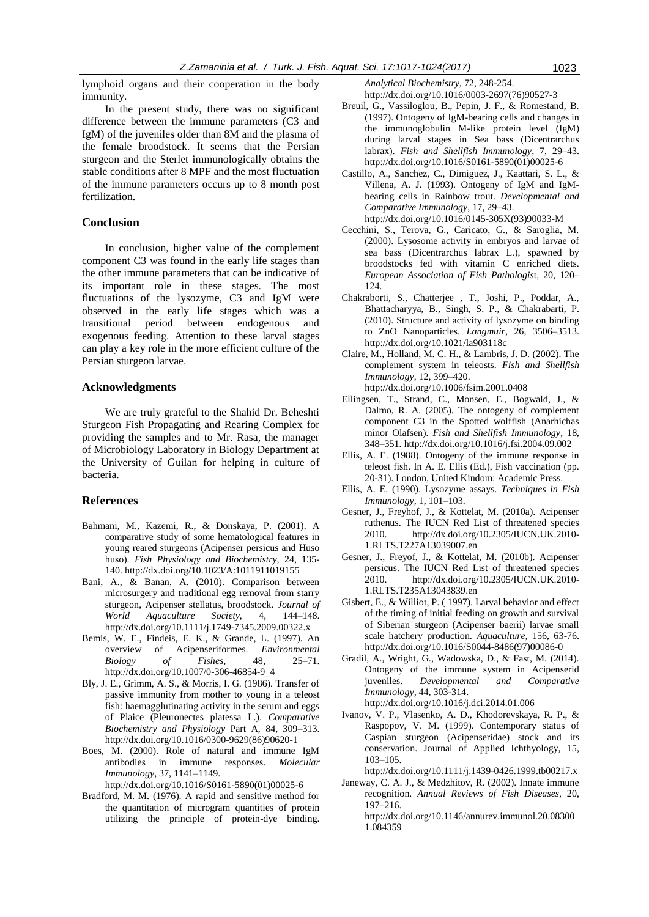lymphoid organs and their cooperation in the body immunity.

In the present study, there was no significant difference between the immune parameters (C3 and IgM) of the juveniles older than 8M and the plasma of the female broodstock. It seems that the Persian sturgeon and the Sterlet immunologically obtains the stable conditions after 8 MPF and the most fluctuation of the immune parameters occurs up to 8 month post fertilization.

# **Conclusion**

In conclusion, higher value of the complement component C3 was found in the early life stages than the other immune parameters that can be indicative of its important role in these stages. The most fluctuations of the lysozyme, C3 and IgM were observed in the early life stages which was a transitional period between endogenous and exogenous feeding. Attention to these larval stages can play a key role in the more efficient culture of the Persian sturgeon larvae.

# **Acknowledgments**

We are truly grateful to the Shahid Dr. Beheshti Sturgeon Fish Propagating and Rearing Complex for providing the samples and to Mr. Rasa, the manager of Microbiology Laboratory in Biology Department at the University of Guilan for helping in culture of bacteria.

## **References**

- Bahmani, M., Kazemi, R., & Donskaya, P. (2001). A comparative study of some hematological features in young reared sturgeons (Acipenser persicus and Huso huso). *Fish Physiology and Biochemistry*, 24, 135- 140[. http://dx.doi.org/10.1023/A:1011911019155](http://10.0.3.255/A:1011911019155)
- Bani, A., & Banan, A. (2010). Comparison between microsurgery and traditional egg removal from starry sturgeon, Acipenser stellatus, broodstock. *Journal of World Aquaculture Society*, 4, 144–148. [http://dx.doi.org/10.1111/j.1749-7345.2009.00322.x](http://10.0.4.87/j.1749-7345.2009.00322.x)
- Bemis, W. E., Findeis, E. K., & Grande, L. (1997). An overview of Acipenseriformes. *Environmental Biology of Fishes*, 48, 25–71. [http://dx.doi.org/10.1007/0-306-46854-9\\_4](http://10.0.3.239/0-306-46854-9_4)
- Bly, J. E., Grimm, A. S., & Morris, I. G. (1986). Transfer of passive immunity from mother to young in a teleost fish: haemagglutinating activity in the serum and eggs of Plaice (Pleuronectes platessa L.). *Comparative Biochemistry and Physiology* Part A, 84, 309–313. [http://dx.doi.org/10.1016/0300-9629\(86\)90620-1](http://10.0.3.248/0300-9629(86)90620-1)
- Boes, M. (2000). Role of natural and immune IgM antibodies in immune responses. *Molecular Immunology*, 37, 1141–1149.

[http://dx.doi.org/10.1016/S0161-5890\(01\)00025-6](http://10.0.3.248/S0161-5890(01)00025-6)

Bradford, M. M. (1976). A rapid and sensitive method for the quantitation of microgram quantities of protein utilizing the principle of protein-dye binding.

*Analytical Biochemistry*, 72, 248-254. [http://dx.doi.org/10.1016/0003-2697\(76\)90527-3](http://10.0.3.248/0003-2697(76)90527-3)

- Breuil, G., Vassiloglou, B., Pepin, J. F., & Romestand, B. (1997). Ontogeny of IgM-bearing cells and changes in the immunoglobulin M-like protein level (IgM) during larval stages in Sea bass (Dicentrarchus labrax). *Fish and Shellfish Immunology*, 7, 29–43. [http://dx.doi.org/10.1016/S0161-5890\(01\)00025-6](http://dx.doi.org/10.1016/S0161-5890(01)00025-6)
- Castillo, A., Sanchez, C., Dimiguez, J., Kaattari, S. L., & Villena, A. J. (1993). Ontogeny of IgM and IgMbearing cells in Rainbow trout. *Developmental and Comparative Immunology*, 17, 29–43. [http://dx.doi.org/10.1016/0145-305X\(93\)90033-M](http://10.0.3.248/0145-305X(93)90033-M)
- Cecchini, S., Terova, G., Caricato, G., & Saroglia, M. (2000). Lysosome activity in embryos and larvae of sea bass (Dicentrarchus labrax L.), spawned by broodstocks fed with vitamin C enriched diets. *European Association of Fish Pathologis*t, 20, 120– 124.
- Chakraborti, S., Chatterjee , T., Joshi, P., Poddar, A., Bhattacharyya, B., Singh, S. P., & Chakrabarti, P. (2010). Structure and activity of lysozyme on binding to ZnO Nanoparticles. *Langmuir*, 26, 3506–3513. [http://dx.doi.org/10.1021/la903118c](http://10.0.3.253/la903118c)
- Claire, M., Holland, M. C. H., & Lambris, J. D. (2002). The complement system in teleosts. *Fish and Shellfish Immunology*, 12, 399–420. [http://dx.doi.org/10.1006/fsim.2001.0408](http://10.0.3.238/fsim.2001.0408)
- Ellingsen, T., Strand, C., Monsen, E., Bogwald, J., & Dalmo, R. A. (2005). The ontogeny of complement component C3 in the Spotted wolffish (Anarhichas minor Olafsen). *Fish and Shellfish Immunology*, 18, 348–351[. http://dx.doi.org/10.1016/j.fsi.2004.09.002](http://10.0.3.248/j.fsi.2004.09.002)
- Ellis, A. E. (1988). Ontogeny of the immune response in teleost fish. In A. E. Ellis (Ed.), Fish vaccination (pp. 20-31). London, United Kindom: Academic Press.
- Ellis, A. E. (1990). Lysozyme assays. *Techniques in Fish Immunology*, 1, 101–103.
- Gesner, J., Freyhof, J., & Kottelat, M. (2010a). Acipenser ruthenus. The IUCN Red List of threatened species 2010. http://dx.doi.org/10.2305/IUCN.UK.2010- 1.RLTS.T227A13039007.en
- Gesner, J., Freyof, J., & Kottelat, M. (2010b). Acipenser persicus. The IUCN Red List of threatened species 2010. [http://dx.doi.org/10.2305/IUCN.UK.2010-](http://dx.doi.org/10.2305/IUCN.UK.2010-1.RLTS.T235A13043839.en) [1.RLTS.T235A13043839.en](http://dx.doi.org/10.2305/IUCN.UK.2010-1.RLTS.T235A13043839.en)
- Gisbert, E., & Williot, P. ( 1997). Larval behavior and effect of the timing of initial feeding on growth and survival of Siberian sturgeon (Acipenser baerii) larvae small scale hatchery production. *Aquaculture*, 156, 63-76. [http://dx.doi.org/10.1016/S0044-8486\(97\)00086-0](http://10.0.3.248/S0044-8486(97)00086-0)
- Gradil, A., Wright, G., Wadowska, D., & Fast, M. (2014). Ontogeny of the immune system in Acipenserid juveniles. *Developmental and Comparative Immunology,* 44, 303-314. [http://dx.doi.org/10.1016/j.dci.2014.01.006](http://10.0.3.248/j.dci.2014.01.006)
- Ivanov, V. P., Vlasenko, A. D., Khodorevskaya, R. P., & Raspopov, V. M. (1999). Contemporary status of Caspian sturgeon (Acipenseridae) stock and its conservation. Journal of Applied Ichthyology, 15, 103–105.

[http://dx.doi.org/10.1111/j.1439-0426.1999.tb00217.x](http://10.0.4.87/j.1439-0426.1999.tb00217.x)

- Janeway, C. A. J., & Medzhitov, R. (2002). Innate immune recognition. *Annual Reviews of Fish Diseases*, 20, 197–216.
	- [http://dx.doi.org/10.1146/annurev.immunol.20.08300](http://10.0.4.122/annurev.immunol.20.083001.084359) [1.084359](http://10.0.4.122/annurev.immunol.20.083001.084359)